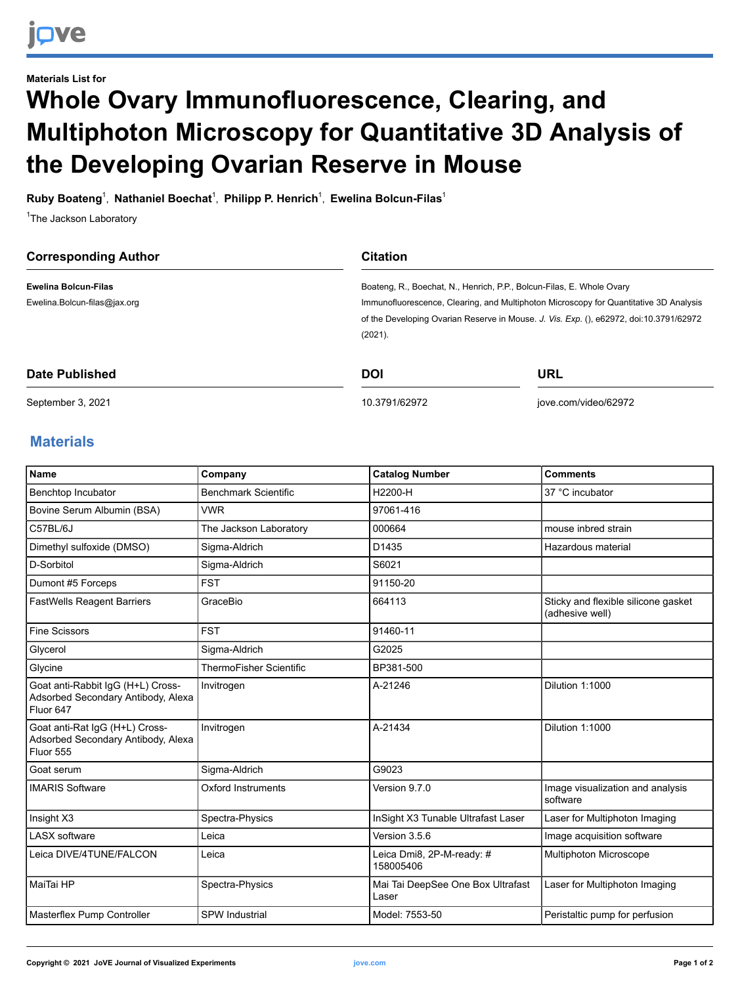## **Materials List for Whole Ovary Immunofluorescence, Clearing, and Multiphoton Microscopy for Quantitative 3D Analysis of the Developing Ovarian Reserve in Mouse**

**Ruby Boateng**<sup>1</sup> , **Nathaniel Boechat**<sup>1</sup> , **Philipp P. Henrich** 1 , **Ewelina Bolcun-Filas**<sup>1</sup>

<sup>1</sup>The Jackson Laboratory

| <b>Corresponding Author</b>  | <b>Citation</b>                                                                        |                                                                                       |  |
|------------------------------|----------------------------------------------------------------------------------------|---------------------------------------------------------------------------------------|--|
| <b>Ewelina Bolcun-Filas</b>  | Boateng, R., Boechat, N., Henrich, P.P., Bolcun-Filas, E. Whole Ovary                  |                                                                                       |  |
| Ewelina.Bolcun-filas@jax.org |                                                                                        | Immunofluorescence, Clearing, and Multiphoton Microscopy for Quantitative 3D Analysis |  |
|                              | of the Developing Ovarian Reserve in Mouse. J. Vis. Exp. (), e62972, doi:10.3791/62972 |                                                                                       |  |
|                              | (2021).                                                                                |                                                                                       |  |
| Date Published               | <b>DOI</b>                                                                             | URL                                                                                   |  |
| September 3, 2021            | 10.3791/62972                                                                          | jove.com/video/62972                                                                  |  |

## **Materials**

| <b>Name</b>                                                                          | Company                        | <b>Catalog Number</b>                      | <b>Comments</b>                                        |
|--------------------------------------------------------------------------------------|--------------------------------|--------------------------------------------|--------------------------------------------------------|
| Benchtop Incubator                                                                   | <b>Benchmark Scientific</b>    | H2200-H                                    | 37 °C incubator                                        |
| Bovine Serum Albumin (BSA)                                                           | <b>VWR</b>                     | 97061-416                                  |                                                        |
| C57BL/6J                                                                             | The Jackson Laboratory         | 000664                                     | mouse inbred strain                                    |
| Dimethyl sulfoxide (DMSO)                                                            | Sigma-Aldrich                  | D1435                                      | Hazardous material                                     |
| D-Sorbitol                                                                           | Sigma-Aldrich                  | S6021                                      |                                                        |
| Dumont #5 Forceps                                                                    | <b>FST</b>                     | 91150-20                                   |                                                        |
| <b>FastWells Reagent Barriers</b>                                                    | GraceBio                       | 664113                                     | Sticky and flexible silicone gasket<br>(adhesive well) |
| <b>Fine Scissors</b>                                                                 | <b>FST</b>                     | 91460-11                                   |                                                        |
| Glycerol                                                                             | Sigma-Aldrich                  | G2025                                      |                                                        |
| Glycine                                                                              | <b>ThermoFisher Scientific</b> | BP381-500                                  |                                                        |
| Goat anti-Rabbit IgG (H+L) Cross-<br>Adsorbed Secondary Antibody, Alexa<br>Fluor 647 | Invitrogen                     | A-21246                                    | Dilution 1:1000                                        |
| Goat anti-Rat IgG (H+L) Cross-<br>Adsorbed Secondary Antibody, Alexa<br>Fluor 555    | Invitrogen                     | A-21434                                    | Dilution 1:1000                                        |
| Goat serum                                                                           | Sigma-Aldrich                  | G9023                                      |                                                        |
| <b>IMARIS Software</b>                                                               | Oxford Instruments             | Version 9.7.0                              | Image visualization and analysis<br>software           |
| Insight X3                                                                           | Spectra-Physics                | InSight X3 Tunable Ultrafast Laser         | Laser for Multiphoton Imaging                          |
| <b>LASX</b> software                                                                 | Leica                          | Version 3.5.6                              | Image acquisition software                             |
| Leica DIVE/4TUNE/FALCON                                                              | Leica                          | Leica Dmi8, 2P-M-ready: #<br>158005406     | Multiphoton Microscope                                 |
| MaiTai HP                                                                            | Spectra-Physics                | Mai Tai DeepSee One Box Ultrafast<br>Laser | Laser for Multiphoton Imaging                          |
| Masterflex Pump Controller                                                           | <b>SPW Industrial</b>          | Model: 7553-50                             | Peristaltic pump for perfusion                         |